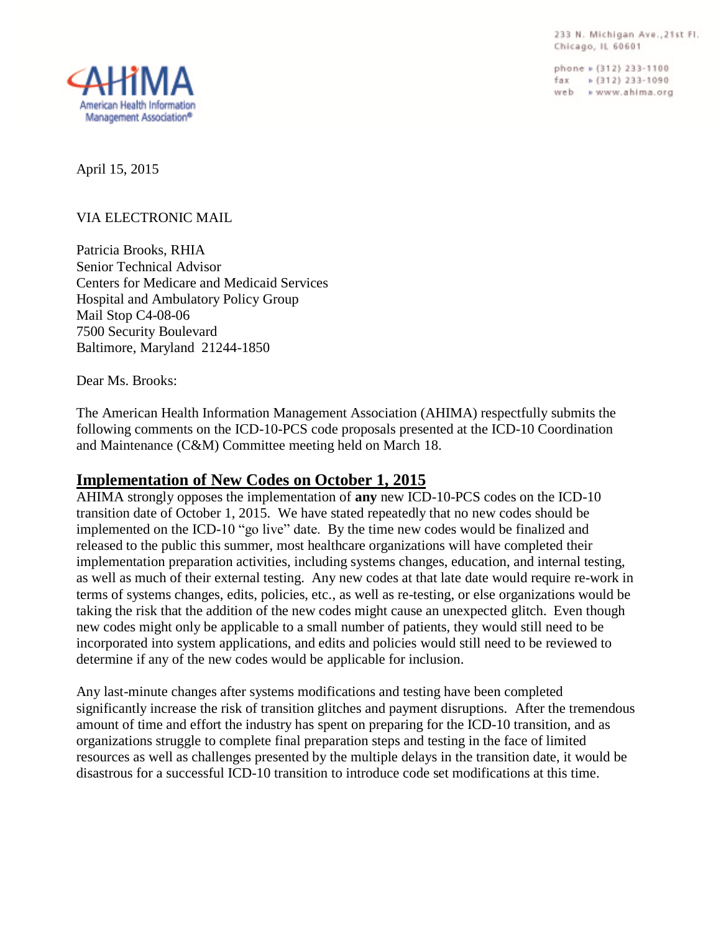233 N. Michigan Ave., 21st Fl. Chicago, IL 60601

phone » (312) 233-1100  $\frac{1}{2}$  Tax =  $\frac{1}{2}$  (312) 233-1090 web > www.ahima.org



April 15, 2015

# VIA ELECTRONIC MAIL

Patricia Brooks, RHIA Senior Technical Advisor Centers for Medicare and Medicaid Services Hospital and Ambulatory Policy Group Mail Stop C4-08-06 7500 Security Boulevard Baltimore, Maryland 21244-1850

Dear Ms. Brooks:

The American Health Information Management Association (AHIMA) respectfully submits the following comments on the ICD-10-PCS code proposals presented at the ICD-10 Coordination and Maintenance (C&M) Committee meeting held on March 18.

# **Implementation of New Codes on October 1, 2015**

AHIMA strongly opposes the implementation of **any** new ICD-10-PCS codes on the ICD-10 transition date of October 1, 2015. We have stated repeatedly that no new codes should be implemented on the ICD-10 "go live" date. By the time new codes would be finalized and released to the public this summer, most healthcare organizations will have completed their implementation preparation activities, including systems changes, education, and internal testing, as well as much of their external testing. Any new codes at that late date would require re-work in terms of systems changes, edits, policies, etc., as well as re-testing, or else organizations would be taking the risk that the addition of the new codes might cause an unexpected glitch. Even though new codes might only be applicable to a small number of patients, they would still need to be incorporated into system applications, and edits and policies would still need to be reviewed to determine if any of the new codes would be applicable for inclusion.

Any last-minute changes after systems modifications and testing have been completed significantly increase the risk of transition glitches and payment disruptions. After the tremendous amount of time and effort the industry has spent on preparing for the ICD-10 transition, and as organizations struggle to complete final preparation steps and testing in the face of limited resources as well as challenges presented by the multiple delays in the transition date, it would be disastrous for a successful ICD-10 transition to introduce code set modifications at this time.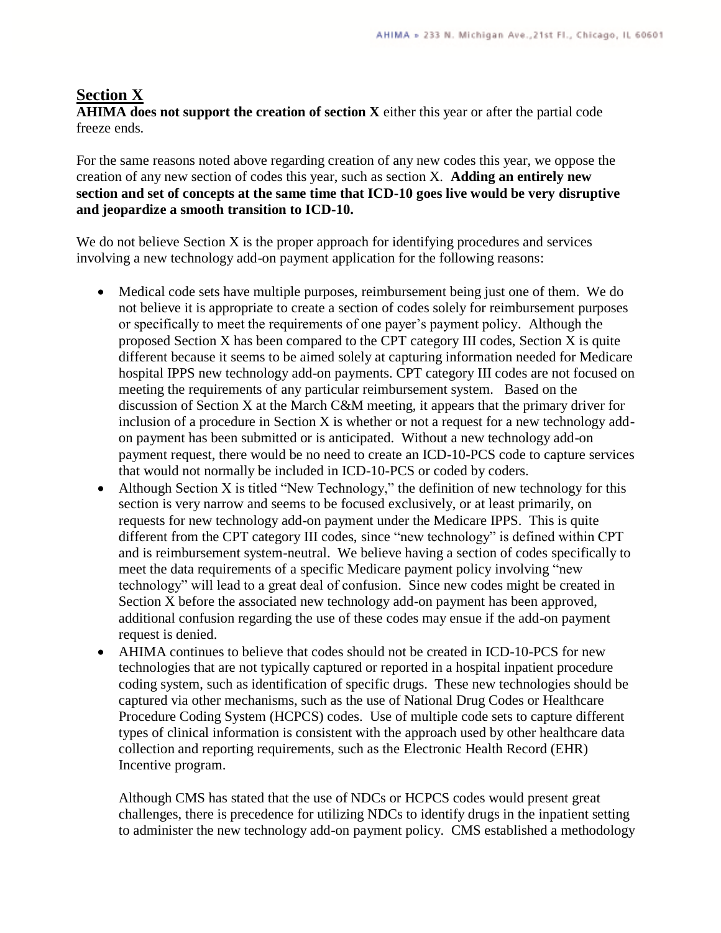### **Section X**

**AHIMA does not support the creation of section X** either this year or after the partial code freeze ends.

For the same reasons noted above regarding creation of any new codes this year, we oppose the creation of any new section of codes this year, such as section X. **Adding an entirely new section and set of concepts at the same time that ICD-10 goes live would be very disruptive and jeopardize a smooth transition to ICD-10.**

We do not believe Section X is the proper approach for identifying procedures and services involving a new technology add-on payment application for the following reasons:

- Medical code sets have multiple purposes, reimbursement being just one of them. We do not believe it is appropriate to create a section of codes solely for reimbursement purposes or specifically to meet the requirements of one payer's payment policy. Although the proposed Section X has been compared to the CPT category III codes, Section X is quite different because it seems to be aimed solely at capturing information needed for Medicare hospital IPPS new technology add-on payments. CPT category III codes are not focused on meeting the requirements of any particular reimbursement system. Based on the discussion of Section X at the March C&M meeting, it appears that the primary driver for inclusion of a procedure in Section X is whether or not a request for a new technology addon payment has been submitted or is anticipated. Without a new technology add-on payment request, there would be no need to create an ICD-10-PCS code to capture services that would not normally be included in ICD-10-PCS or coded by coders.
- Although Section X is titled "New Technology," the definition of new technology for this section is very narrow and seems to be focused exclusively, or at least primarily, on requests for new technology add-on payment under the Medicare IPPS. This is quite different from the CPT category III codes, since "new technology" is defined within CPT and is reimbursement system-neutral. We believe having a section of codes specifically to meet the data requirements of a specific Medicare payment policy involving "new technology" will lead to a great deal of confusion. Since new codes might be created in Section X before the associated new technology add-on payment has been approved, additional confusion regarding the use of these codes may ensue if the add-on payment request is denied.
- AHIMA continues to believe that codes should not be created in ICD-10-PCS for new technologies that are not typically captured or reported in a hospital inpatient procedure coding system, such as identification of specific drugs. These new technologies should be captured via other mechanisms, such as the use of National Drug Codes or Healthcare Procedure Coding System (HCPCS) codes. Use of multiple code sets to capture different types of clinical information is consistent with the approach used by other healthcare data collection and reporting requirements, such as the Electronic Health Record (EHR) Incentive program.

Although CMS has stated that the use of NDCs or HCPCS codes would present great challenges, there is precedence for utilizing NDCs to identify drugs in the inpatient setting to administer the new technology add-on payment policy. CMS established a methodology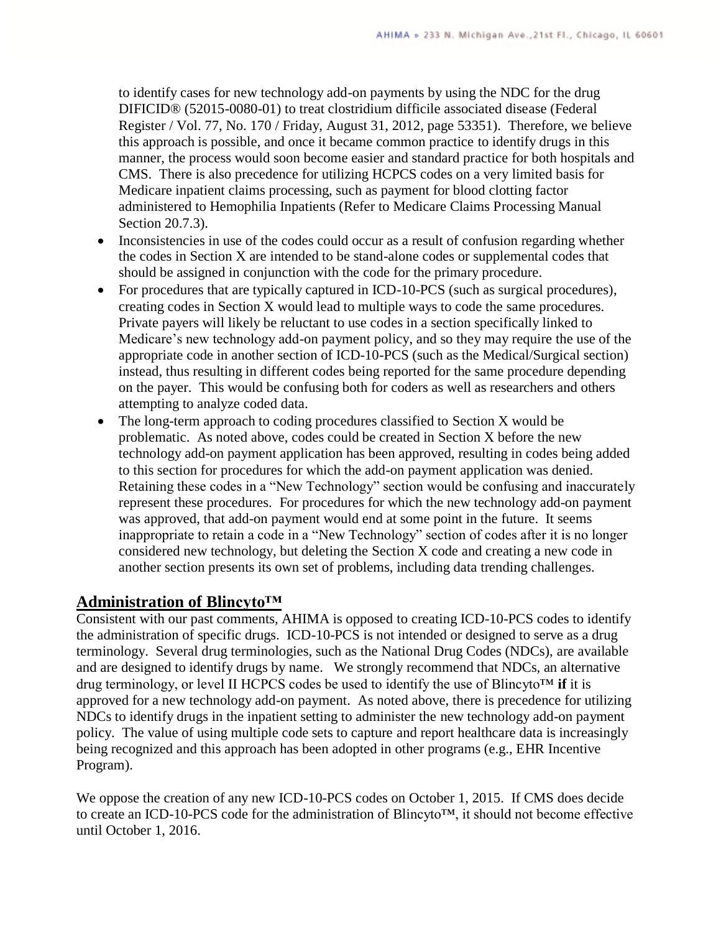to identify cases for new technology add-on payments by using the NDC for the drug DIFICID® (52015-0080-01) to treat clostridium difficile associated disease (Federal Register / Vol. 77, No. 170 / Friday, August 31, 2012, page 53351). Therefore, we believe this approach is possible, and once it became common practice to identify drugs in this manner, the process would soon become easier and standard practice for both hospitals and CMS. There is also precedence for utilizing HCPCS codes on a very limited basis for Medicare inpatient claims processing, such as payment for blood clotting factor administered to Hemophilia Inpatients (Refer to Medicare Claims Processing Manual Section 20.7.3).

- Inconsistencies in use of the codes could occur as a result of confusion regarding whether the codes in Section X are intended to be stand-alone codes or supplemental codes that should be assigned in conjunction with the code for the primary procedure.
- For procedures that are typically captured in ICD-10-PCS (such as surgical procedures), creating codes in Section X would lead to multiple ways to code the same procedures. Private payers will likely be reluctant to use codes in a section specifically linked to Medicare's new technology add-on payment policy, and so they may require the use of the appropriate code in another section of ICD-10-PCS (such as the Medical/Surgical section) instead, thus resulting in different codes being reported for the same procedure depending on the payer. This would be confusing both for coders as well as researchers and others attempting to analyze coded data.
- The long-term approach to coding procedures classified to Section X would be problematic. As noted above, codes could be created in Section X before the new technology add-on payment application has been approved, resulting in codes being added to this section for procedures for which the add-on payment application was denied. Retaining these codes in a "New Technology" section would be confusing and inaccurately represent these procedures. For procedures for which the new technology add-on payment was approved, that add-on payment would end at some point in the future. It seems inappropriate to retain a code in a "New Technology" section of codes after it is no longer considered new technology, but deleting the Section X code and creating a new code in another section presents its own set of problems, including data trending challenges.

# **Administration of Blincyto™**

Consistent with our past comments, AHIMA is opposed to creating ICD-10-PCS codes to identify the administration of specific drugs. ICD-10-PCS is not intended or designed to serve as a drug terminology. Several drug terminologies, such as the National Drug Codes (NDCs), are available and are designed to identify drugs by name. We strongly recommend that NDCs, an alternative drug terminology, or level II HCPCS codes be used to identify the use of Blincyto™ **if** it is approved for a new technology add-on payment. As noted above, there is precedence for utilizing NDCs to identify drugs in the inpatient setting to administer the new technology add-on payment policy. The value of using multiple code sets to capture and report healthcare data is increasingly being recognized and this approach has been adopted in other programs (e.g., EHR Incentive Program).

We oppose the creation of any new ICD-10-PCS codes on October 1, 2015. If CMS does decide to create an ICD-10-PCS code for the administration of Blincyto™, it should not become effective until October 1, 2016.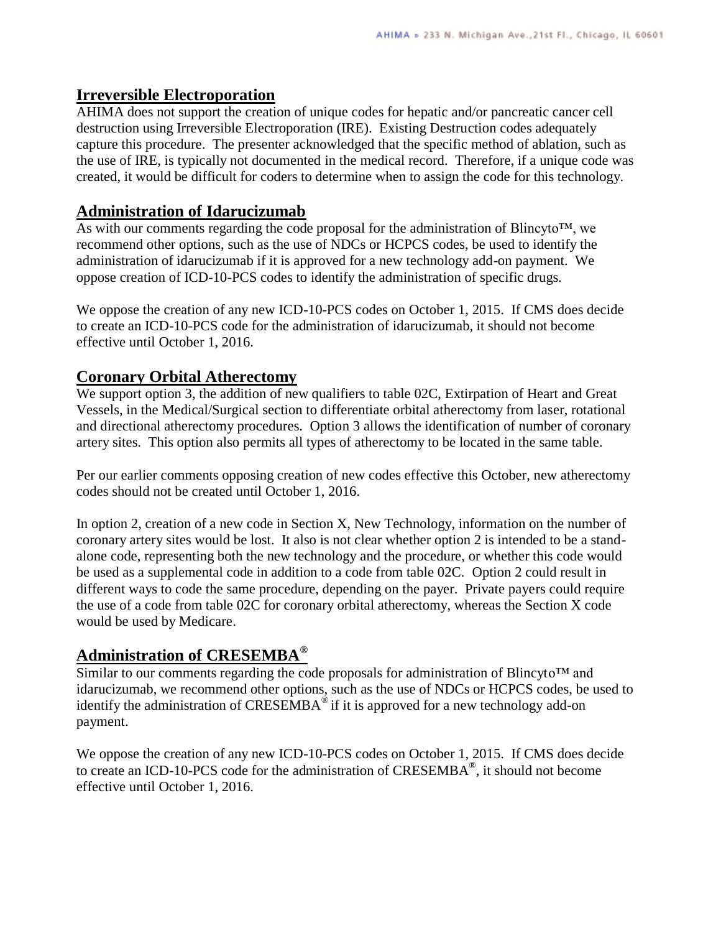### **Irreversible Electroporation**

AHIMA does not support the creation of unique codes for hepatic and/or pancreatic cancer cell destruction using Irreversible Electroporation (IRE). Existing Destruction codes adequately capture this procedure. The presenter acknowledged that the specific method of ablation, such as the use of IRE, is typically not documented in the medical record. Therefore, if a unique code was created, it would be difficult for coders to determine when to assign the code for this technology.

## **Administration of Idarucizumab**

As with our comments regarding the code proposal for the administration of Blincyto™, we recommend other options, such as the use of NDCs or HCPCS codes, be used to identify the administration of idarucizumab if it is approved for a new technology add-on payment. We oppose creation of ICD-10-PCS codes to identify the administration of specific drugs.

We oppose the creation of any new ICD-10-PCS codes on October 1, 2015. If CMS does decide to create an ICD-10-PCS code for the administration of idarucizumab, it should not become effective until October 1, 2016.

### **Coronary Orbital Atherectomy**

We support option 3, the addition of new qualifiers to table 02C, Extirpation of Heart and Great Vessels, in the Medical/Surgical section to differentiate orbital atherectomy from laser, rotational and directional atherectomy procedures. Option 3 allows the identification of number of coronary artery sites. This option also permits all types of atherectomy to be located in the same table.

Per our earlier comments opposing creation of new codes effective this October, new atherectomy codes should not be created until October 1, 2016.

In option 2, creation of a new code in Section X, New Technology, information on the number of coronary artery sites would be lost. It also is not clear whether option 2 is intended to be a standalone code, representing both the new technology and the procedure, or whether this code would be used as a supplemental code in addition to a code from table 02C. Option 2 could result in different ways to code the same procedure, depending on the payer. Private payers could require the use of a code from table 02C for coronary orbital atherectomy, whereas the Section X code would be used by Medicare.

# **Administration of CRESEMBA®**

Similar to our comments regarding the code proposals for administration of Blincyto™ and idarucizumab, we recommend other options, such as the use of NDCs or HCPCS codes, be used to identify the administration of  $CRESEMBA^{\circledast}$  if it is approved for a new technology add-on payment.

We oppose the creation of any new ICD-10-PCS codes on October 1, 2015. If CMS does decide to create an ICD-10-PCS code for the administration of CRESEMBA<sup>®</sup>, it should not become effective until October 1, 2016.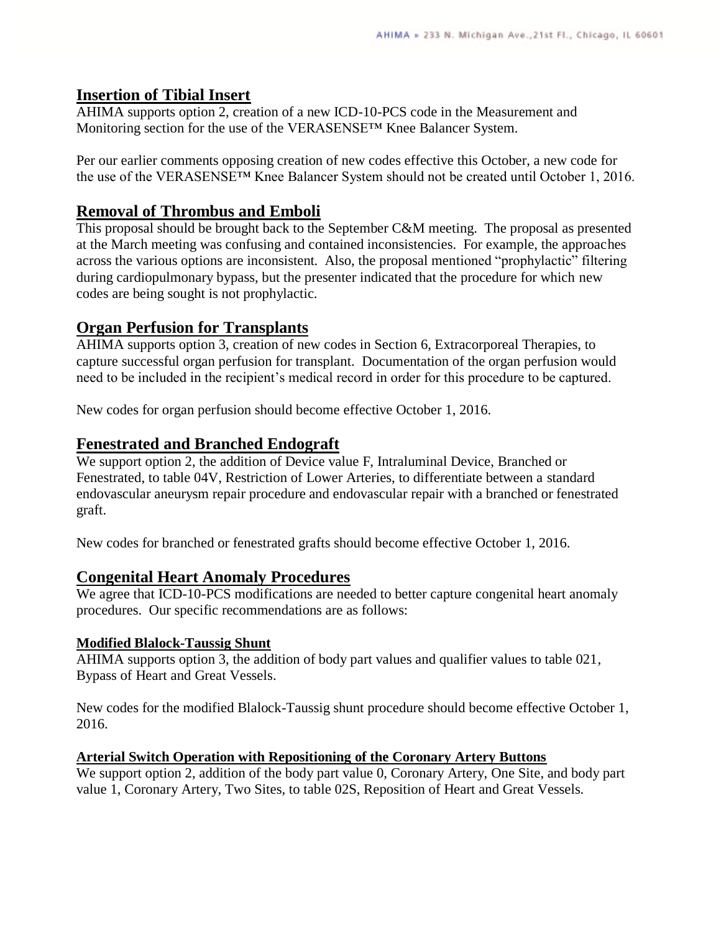### **Insertion of Tibial Insert**

AHIMA supports option 2, creation of a new ICD-10-PCS code in the Measurement and Monitoring section for the use of the VERASENSE™ Knee Balancer System.

Per our earlier comments opposing creation of new codes effective this October, a new code for the use of the VERASENSE™ Knee Balancer System should not be created until October 1, 2016.

### **Removal of Thrombus and Emboli**

This proposal should be brought back to the September C&M meeting. The proposal as presented at the March meeting was confusing and contained inconsistencies. For example, the approaches across the various options are inconsistent. Also, the proposal mentioned "prophylactic" filtering during cardiopulmonary bypass, but the presenter indicated that the procedure for which new codes are being sought is not prophylactic.

# **Organ Perfusion for Transplants**

AHIMA supports option 3, creation of new codes in Section 6, Extracorporeal Therapies, to capture successful organ perfusion for transplant. Documentation of the organ perfusion would need to be included in the recipient's medical record in order for this procedure to be captured.

New codes for organ perfusion should become effective October 1, 2016.

### **Fenestrated and Branched Endograft**

We support option 2, the addition of Device value F, Intraluminal Device, Branched or Fenestrated, to table 04V, Restriction of Lower Arteries, to differentiate between a standard endovascular aneurysm repair procedure and endovascular repair with a branched or fenestrated graft.

New codes for branched or fenestrated grafts should become effective October 1, 2016.

### **Congenital Heart Anomaly Procedures**

We agree that ICD-10-PCS modifications are needed to better capture congenital heart anomaly procedures. Our specific recommendations are as follows:

#### **Modified Blalock-Taussig Shunt**

AHIMA supports option 3, the addition of body part values and qualifier values to table 021, Bypass of Heart and Great Vessels.

New codes for the modified Blalock-Taussig shunt procedure should become effective October 1, 2016.

#### **Arterial Switch Operation with Repositioning of the Coronary Artery Buttons**

We support option 2, addition of the body part value 0, Coronary Artery, One Site, and body part value 1, Coronary Artery, Two Sites, to table 02S, Reposition of Heart and Great Vessels.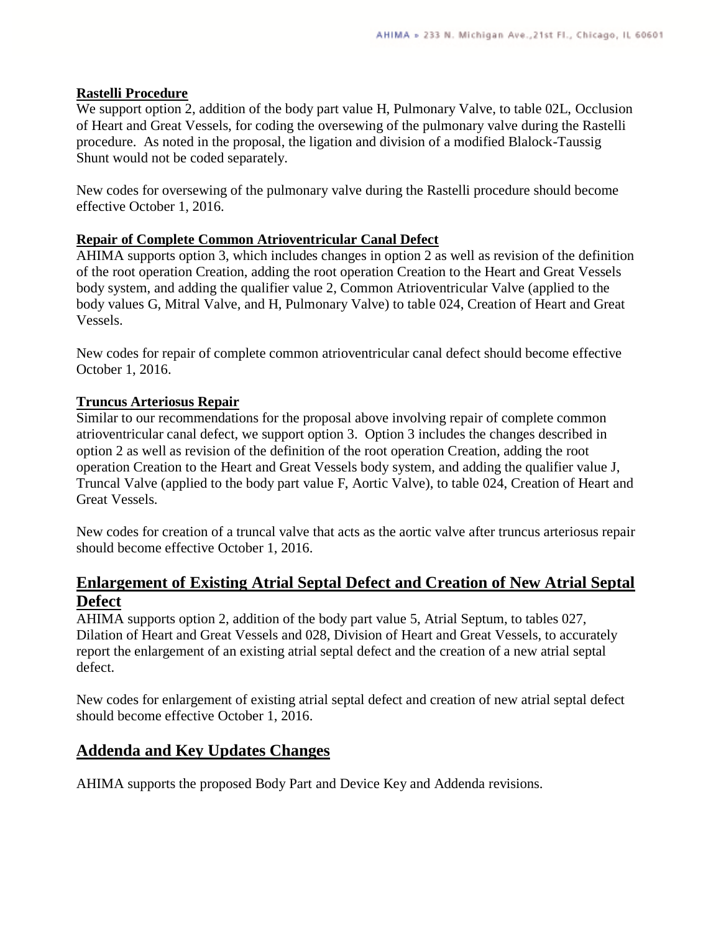#### **Rastelli Procedure**

We support option 2, addition of the body part value H, Pulmonary Valve, to table 02L, Occlusion of Heart and Great Vessels, for coding the oversewing of the pulmonary valve during the Rastelli procedure. As noted in the proposal, the ligation and division of a modified Blalock-Taussig Shunt would not be coded separately.

New codes for oversewing of the pulmonary valve during the Rastelli procedure should become effective October 1, 2016.

#### **Repair of Complete Common Atrioventricular Canal Defect**

AHIMA supports option 3, which includes changes in option 2 as well as revision of the definition of the root operation Creation, adding the root operation Creation to the Heart and Great Vessels body system, and adding the qualifier value 2, Common Atrioventricular Valve (applied to the body values G, Mitral Valve, and H, Pulmonary Valve) to table 024, Creation of Heart and Great Vessels.

New codes for repair of complete common atrioventricular canal defect should become effective October 1, 2016.

#### **Truncus Arteriosus Repair**

Similar to our recommendations for the proposal above involving repair of complete common atrioventricular canal defect, we support option 3. Option 3 includes the changes described in option 2 as well as revision of the definition of the root operation Creation, adding the root operation Creation to the Heart and Great Vessels body system, and adding the qualifier value J, Truncal Valve (applied to the body part value F, Aortic Valve), to table 024, Creation of Heart and Great Vessels.

New codes for creation of a truncal valve that acts as the aortic valve after truncus arteriosus repair should become effective October 1, 2016.

# **Enlargement of Existing Atrial Septal Defect and Creation of New Atrial Septal Defect**

AHIMA supports option 2, addition of the body part value 5, Atrial Septum, to tables 027, Dilation of Heart and Great Vessels and 028, Division of Heart and Great Vessels, to accurately report the enlargement of an existing atrial septal defect and the creation of a new atrial septal defect.

New codes for enlargement of existing atrial septal defect and creation of new atrial septal defect should become effective October 1, 2016.

# **Addenda and Key Updates Changes**

AHIMA supports the proposed Body Part and Device Key and Addenda revisions.